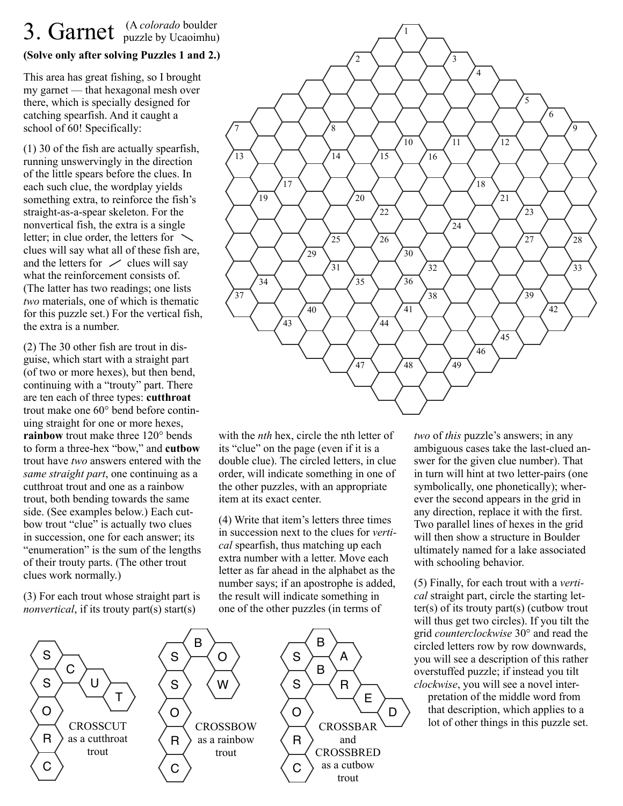## 3. Garnet <sup>(A colorado boulder</sup>)

## **(Solve only after solving Puzzles 1 and 2.)**

This area has great fishing, so I brought my garnet — that hexagonal mesh over there, which is specially designed for catching spearfish. And it caught a school of 60! Specifically:

(1) 30 of the fish are actually spearfish, running unswervingly in the direction of the little spears before the clues. In each such clue, the wordplay yields something extra, to reinforce the fish's straight-as-a-spear skeleton. For the nonvertical fish, the extra is a single letter; in clue order, the letters for  $\searrow$ clues will say what all of these fish are, and the letters for  $\angle$  clues will say what the reinforcement consists of. (The latter has two readings; one lists *two* materials, one of which is thematic for this puzzle set.) For the vertical fish, the extra is a number.

(2) The 30 other fish are trout in disguise, which start with a straight part (of two or more hexes), but then bend, continuing with a "trouty" part. There are ten each of three types: **cutthroat** trout make one 60° bend before continuing straight for one or more hexes, **rainbow** trout make three 120° bends to form a three-hex "bow," and **cutbow** trout have *two* answers entered with the *same straight part*, one continuing as a cutthroat trout and one as a rainbow trout, both bending towards the same side. (See examples below.) Each cutbow trout "clue" is actually two clues in succession, one for each answer; its "enumeration" is the sum of the lengths of their trouty parts. (The other trout clues work normally.)

(3) For each trout whose straight part is *nonvertical*, if its trouty part(s) start(s)



with the *nth* hex, circle the nth letter of its "clue" on the page (even if it is a double clue). The circled letters, in clue order, will indicate something in one of the other puzzles, with an appropriate item at its exact center.

(4) Write that item's letters three times in succession next to the clues for *vertical* spearfish, thus matching up each extra number with a letter. Move each letter as far ahead in the alphabet as the number says; if an apostrophe is added, the result will indicate something in one of the other puzzles (in terms of

*two* of *this* puzzle's answers; in any ambiguous cases take the last-clued answer for the given clue number). That in turn will hint at two letter-pairs (one symbolically, one phonetically); wherever the second appears in the grid in any direction, replace it with the first. Two parallel lines of hexes in the grid will then show a structure in Boulder ultimately named for a lake associated with schooling behavior.

(5) Finally, for each trout with a *vertical* straight part, circle the starting letter(s) of its trouty part(s) (cutbow trout will thus get two circles). If you tilt the grid *counterclockwise* 30° and read the circled letters row by row downwards, you will see a description of this rather overstuffed puzzle; if instead you tilt *clockwise*, you will see a novel inter-

 pretation of the middle word from that description, which applies to a lot of other things in this puzzle set.